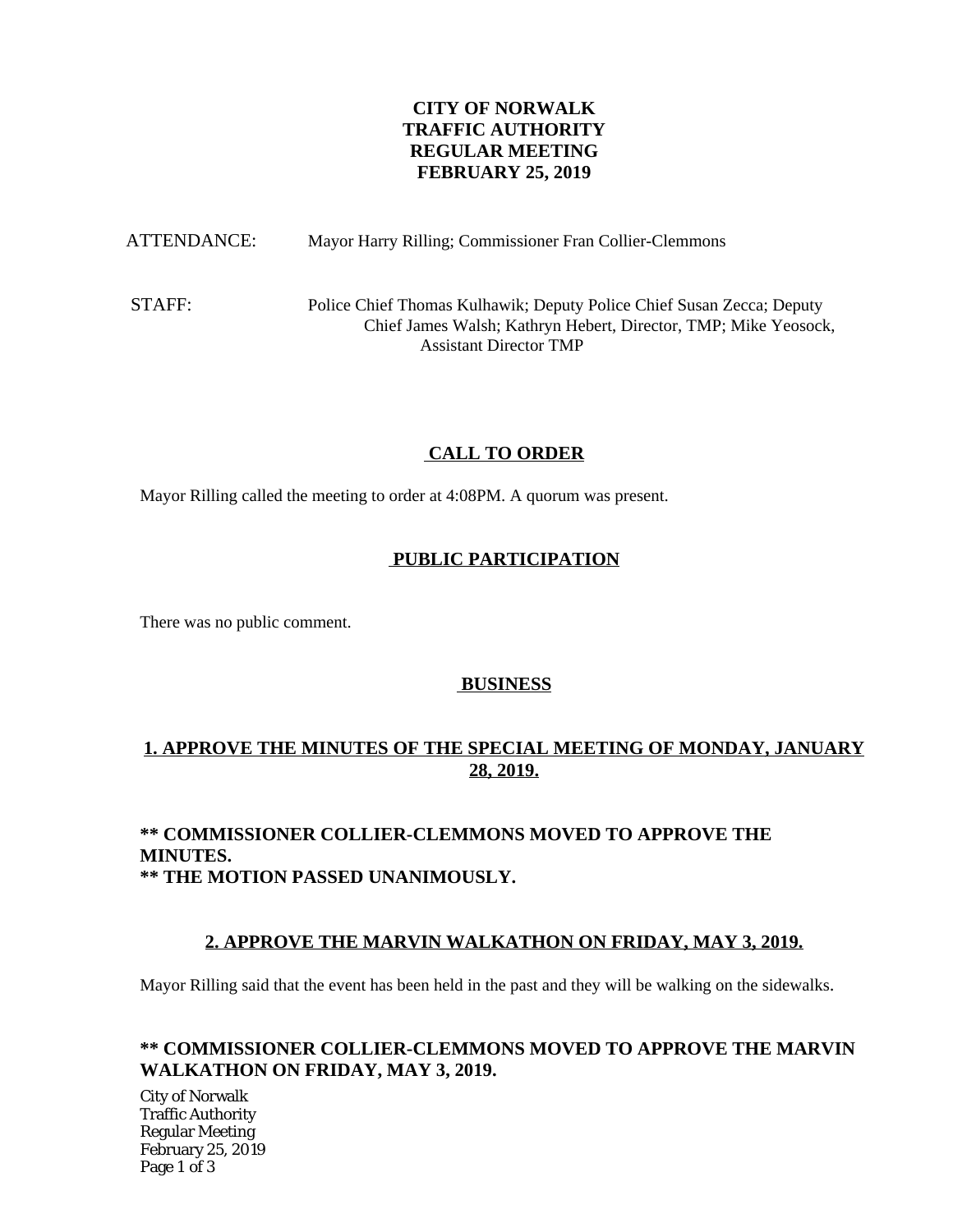# **CITY OF NORWALK TRAFFIC AUTHORITY REGULAR MEETING FEBRUARY 25, 2019**

ATTENDANCE: Mayor Harry Rilling; Commissioner Fran Collier-Clemmons

STAFF: Police Chief Thomas Kulhawik; Deputy Police Chief Susan Zecca; Deputy Chief James Walsh; Kathryn Hebert, Director, TMP; Mike Yeosock, Assistant Director TMP

# **CALL TO ORDER**

Mayor Rilling called the meeting to order at 4:08PM. A quorum was present.

# **PUBLIC PARTICIPATION**

There was no public comment.

# **BUSINESS**

# **1. APPROVE THE MINUTES OF THE SPECIAL MEETING OF MONDAY, JANUARY 28, 2019.**

### **\*\* COMMISSIONER COLLIER-CLEMMONS MOVED TO APPROVE THE MINUTES. \*\* THE MOTION PASSED UNANIMOUSLY.**

# **2. APPROVE THE MARVIN WALKATHON ON FRIDAY, MAY 3, 2019.**

Mayor Rilling said that the event has been held in the past and they will be walking on the sidewalks.

### **\*\* COMMISSIONER COLLIER-CLEMMONS MOVED TO APPROVE THE MARVIN WALKATHON ON FRIDAY, MAY 3, 2019.**

City of Norwalk Traffic Authority Regular Meeting February 25, 2019 Page 1 of 3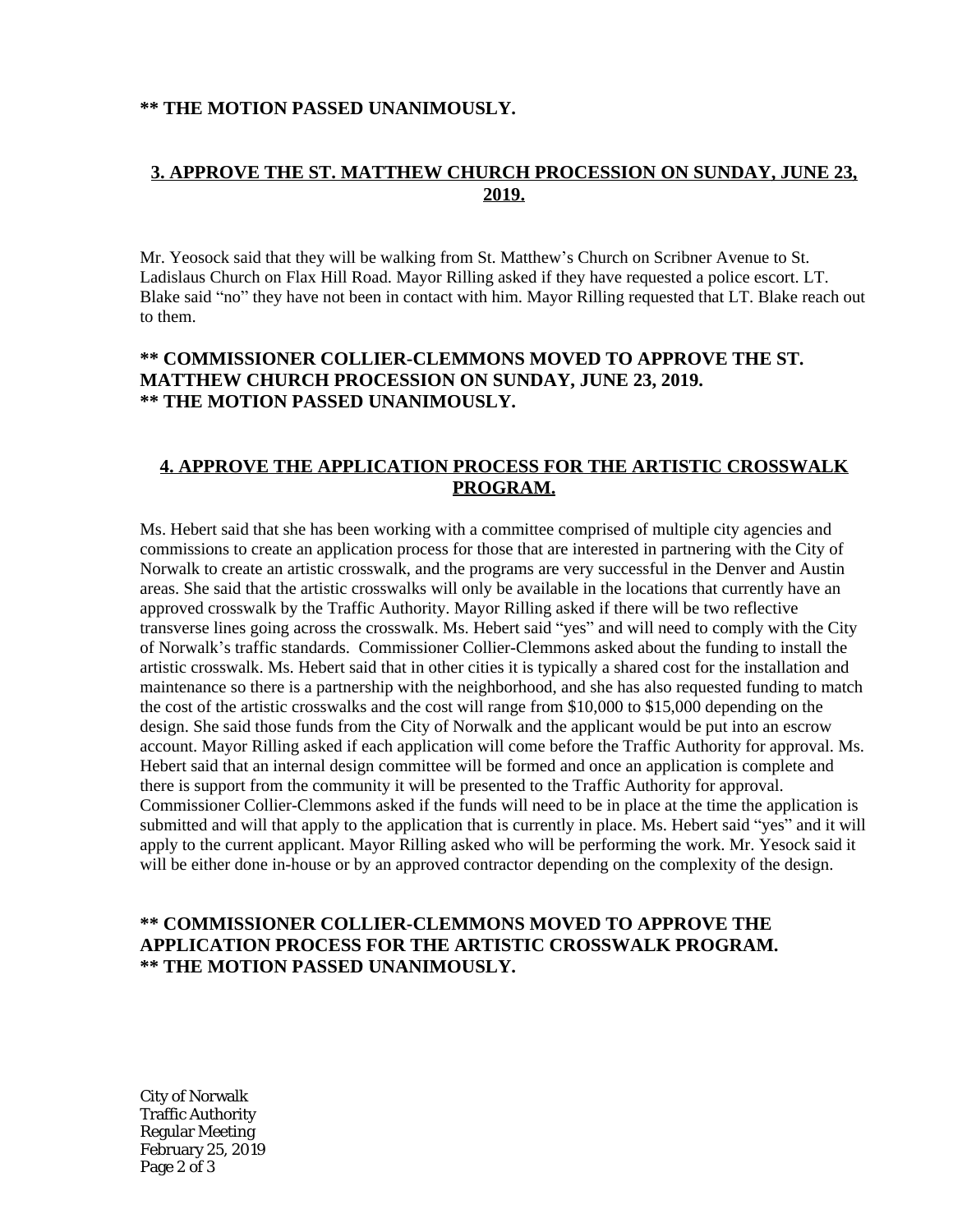#### **\*\* THE MOTION PASSED UNANIMOUSLY.**

### **3. APPROVE THE ST. MATTHEW CHURCH PROCESSION ON SUNDAY, JUNE 23, 2019.**

Mr. Yeosock said that they will be walking from St. Matthew's Church on Scribner Avenue to St. Ladislaus Church on Flax Hill Road. Mayor Rilling asked if they have requested a police escort. LT. Blake said "no" they have not been in contact with him. Mayor Rilling requested that LT. Blake reach out to them.

### **\*\* COMMISSIONER COLLIER-CLEMMONS MOVED TO APPROVE THE ST. MATTHEW CHURCH PROCESSION ON SUNDAY, JUNE 23, 2019. \*\* THE MOTION PASSED UNANIMOUSLY.**

#### **4. APPROVE THE APPLICATION PROCESS FOR THE ARTISTIC CROSSWALK PROGRAM.**

Ms. Hebert said that she has been working with a committee comprised of multiple city agencies and commissions to create an application process for those that are interested in partnering with the City of Norwalk to create an artistic crosswalk, and the programs are very successful in the Denver and Austin areas. She said that the artistic crosswalks will only be available in the locations that currently have an approved crosswalk by the Traffic Authority. Mayor Rilling asked if there will be two reflective transverse lines going across the crosswalk. Ms. Hebert said "yes" and will need to comply with the City of Norwalk's traffic standards. Commissioner Collier-Clemmons asked about the funding to install the artistic crosswalk. Ms. Hebert said that in other cities it is typically a shared cost for the installation and maintenance so there is a partnership with the neighborhood, and she has also requested funding to match the cost of the artistic crosswalks and the cost will range from \$10,000 to \$15,000 depending on the design. She said those funds from the City of Norwalk and the applicant would be put into an escrow account. Mayor Rilling asked if each application will come before the Traffic Authority for approval. Ms. Hebert said that an internal design committee will be formed and once an application is complete and there is support from the community it will be presented to the Traffic Authority for approval. Commissioner Collier-Clemmons asked if the funds will need to be in place at the time the application is submitted and will that apply to the application that is currently in place. Ms. Hebert said "yes" and it will apply to the current applicant. Mayor Rilling asked who will be performing the work. Mr. Yesock said it will be either done in-house or by an approved contractor depending on the complexity of the design.

### **\*\* COMMISSIONER COLLIER-CLEMMONS MOVED TO APPROVE THE APPLICATION PROCESS FOR THE ARTISTIC CROSSWALK PROGRAM. \*\* THE MOTION PASSED UNANIMOUSLY.**

City of Norwalk Traffic Authority Regular Meeting February 25, 2019 Page 2 of 3